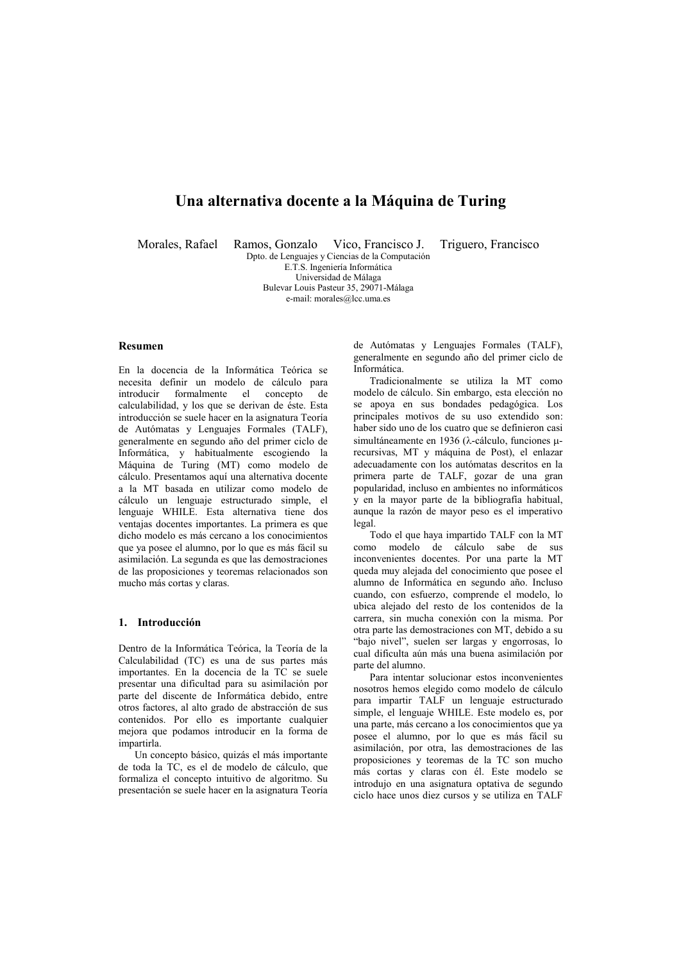# Una alternativa docente a la Máquina de Turing

Morales, Rafael

Ramos. Gonzalo Vico. Francisco J. Dpto. de Lenguajes y Ciencias de la Computación

Triguero, Francisco

E T S Ingeniería Informática Universidad de Málaga Bulevar Louis Pasteur 35, 29071-Málaga e-mail: morales@lcc.uma.es

#### **Resumen**

En la docencia de la Informática Teórica se necesita definir un modelo de cálculo para introducir formalmente el concepto  $\overline{d}$ calculabilidad, y los que se derivan de éste. Esta introducción se suele hacer en la asignatura Teoría de Autómatas y Lenguajes Formales (TALF), generalmente en segundo año del primer ciclo de Informática, y habitualmente escogiendo la Máquina de Turing (MT) como modelo de cálculo. Presentamos aquí una alternativa docente a la MT basada en utilizar como modelo de cálculo un lenguaje estructurado simple, el lenguaje WHILE. Esta alternativa tiene dos ventajas docentes importantes. La primera es que dicho modelo es más cercano a los conocimientos que ya posee el alumno, por lo que es más fácil su asimilación. La segunda es que las demostraciones de las proposiciones y teoremas relacionados son mucho más cortas y claras.

# 1 Introducción

Dentro de la Informática Teórica, la Teoría de la Calculabilidad (TC) es una de sus partes más importantes. En la docencia de la TC se suele presentar una dificultad para su asimilación por parte del discente de Informática debido, entre otros factores, al alto grado de abstracción de sus contenidos. Por ello es importante cualquier mejora que podamos introducir en la forma de impartirla.

Un concepto básico, quizás el más importante de toda la TC, es el de modelo de cálculo, que formaliza el concepto intuitivo de algoritmo. Su presentación se suele hacer en la asignatura Teoría

de Autómatas y Lenguajes Formales (TALF), generalmente en segundo año del primer ciclo de Informática

Tradicionalmente se utiliza la MT como modelo de cálculo. Sin embargo, esta elección no se anova en sus bondades pedagógica. Los principales motivos de su uso extendido son: haber sido uno de los cuatro que se definieron casi simultáneamente en 1936 ( $\lambda$ -cálculo, funciones urecursivas, MT y máquina de Post), el enlazar adecuadamente con los autómatas descritos en la primera parte de TALF, gozar de una gran popularidad, incluso en ambientes no informáticos y en la mayor parte de la bibliografía habitual, aunque la razón de mayor peso es el imperativo legal.

Todo el que haya impartido TALF con la MT como modelo de cálculo sabe de sus inconvenientes docentes. Por una parte la MT queda muy alejada del conocimiento que posee el alumno de Informática en segundo año. Incluso cuando, con esfuerzo, comprende el modelo, lo ubica alejado del resto de los contenidos de la carrera, sin mucha conexión con la misma. Por otra parte las demostraciones con MT, debido a su "bajo nivel", suelen ser largas y engorrosas, lo cual dificulta aún más una buena asimilación por parte del alumno

Para intentar solucionar estos inconvenientes nosotros hemos elegido como modelo de cálculo para impartir TALF un lenguaje estructurado simple, el lenguaje WHILE. Este modelo es, por una parte, más cercano a los conocimientos que ya posee el alumno, por lo que es más fácil su asimilación, por otra, las demostraciones de las proposiciones y teoremas de la TC son mucho más cortas y claras con él. Este modelo se introdujo en una asignatura optativa de segundo ciclo hace unos diez cursos y se utiliza en TALF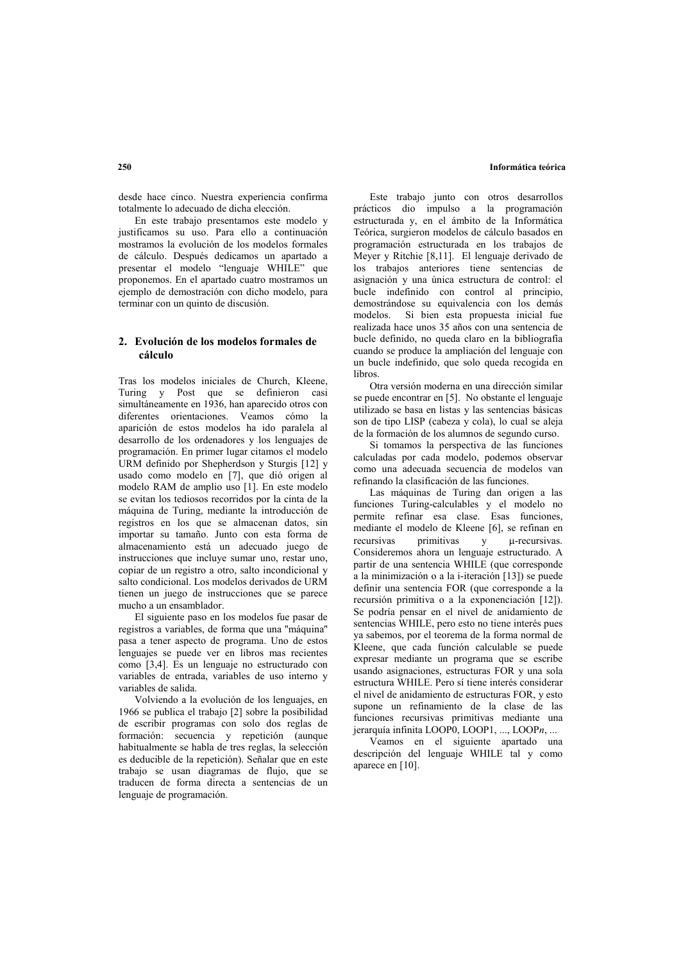#### Informática teórica

desde hace cinco. Nuestra experiencia confirma totalmente lo adecuado de dicha elección.

En este trabajo presentamos este modelo y justificamos su uso. Para ello a continuación mostramos la evolución de los modelos formales de cálculo. Después dedicamos un apartado a presentar el modelo "lenguaje WHILE" que proponemos. En el apartado cuatro mostramos un ejemplo de demostración con dicho modelo, para terminar con un quinto de discusión.

## 2. Evolución de los modelos formales de cálculo

Tras los modelos iniciales de Church, Kleene. Turing y Post que se definieron casi simultáneamente en 1936, han aparecido otros con diferentes orientaciones. Veamos cómo la aparición de estos modelos ha ido paralela al desarrollo de los ordenadores y los lenguajes de programación. En primer lugar citamos el modelo URM definido por Shepherdson y Sturgis [12] y usado como modelo en [7], que dió origen al modelo RAM de amplio uso [1]. En este modelo se evitan los tediosos recorridos por la cinta de la máquina de Turing, mediante la introducción de registros en los que se almacenan datos, sin importar su tamaño. Junto con esta forma de almacenamiento está un adecuado juego de instrucciones que incluve sumar uno, restar uno, copiar de un registro a otro, salto incondicional y salto condicional. Los modelos derivados de URM tienen un juego de instrucciones que se parece mucho a un ensamblador.

El siguiente paso en los modelos fue pasar de registros a variables, de forma que una "máquina" pasa a tener aspecto de programa. Uno de estos lenguajes se puede ver en libros mas recientes como [3,4]. Es un lenguaje no estructurado con variables de entrada, variables de uso interno y variables de salida

Volviendo a la evolución de los lenguajes, en 1966 se publica el trabajo [2] sobre la posibilidad de escribir programas con solo dos reglas de formación: secuencia y repetición (aunque habitualmente se habla de tres reglas, la selección es deducible de la repetición). Señalar que en este trabajo se usan diagramas de flujo, que se traducen de forma directa a sentencias de un lenguaje de programación.

Este trabajo junto con otros desarrollos prácticos dio impulso a la programación estructurada v. en el ámbito de la Informática Teórica, surgieron modelos de cálculo basados en programación estructurada en los trabajos de Meyer y Ritchie [8,11]. El lenguaje derivado de los trabajos anteriores tiene sentencias de asignación y una única estructura de control: el bucle indefinido con control al principio. demostrándose su equivalencia con los demás modelos. Si bien esta propuesta inicial fue realizada hace unos 35 años con una sentencia de bucle definido, no queda claro en la bibliografía cuando se produce la ampliación del lenguaje con un bucle indefinido, que solo queda recogida en libros

Otra versión moderna en una dirección similar se puede encontrar en [5]. No obstante el lenguaie utilizado se basa en listas y las sentencias básicas son de tipo LISP (cabeza y cola), lo cual se aleja de la formación de los alumnos de segundo curso.

Si tomamos la perspectiva de las funciones calculadas por cada modelo, podemos observar como una adecuada secuencia de modelos van refinando la clasificación de las funciones.

Las máquinas de Turing dan origen a las funciones Turing-calculables y el modelo no permite refinar esa clase. Esas funciones, mediante el modelo de Kleene [6], se refinan en recursivas primitivas u-recursivas.  $\mathbf{v}$ Consideremos ahora un lenguaie estructurado. A partir de una sentencia WHILE (que corresponde a la minimización o a la i-iteración [13]) se puede definir una sentencia FOR (que corresponde a la recursión primitiva o a la exponenciación [12]). Se podría pensar en el nivel de anidamiento de sentencias WHILE, pero esto no tiene interés pues va sabemos, por el teorema de la forma normal de Kleene, que cada función calculable se puede expresar mediante un programa que se escribe usando asignaciones, estructuras FOR y una sola estructura WHILE. Pero sí tiene interés considerar el nivel de anidamiento de estructuras FOR, y esto supone un refinamiento de la clase de las funciones recursivas primitivas mediante una ierarquía infinita LOOP0, LOOP1, ..., LOOPn, ...

Veamos en el siguiente apartado una descripción del lenguaje WHILE tal y como aparece en [10].

#### $250$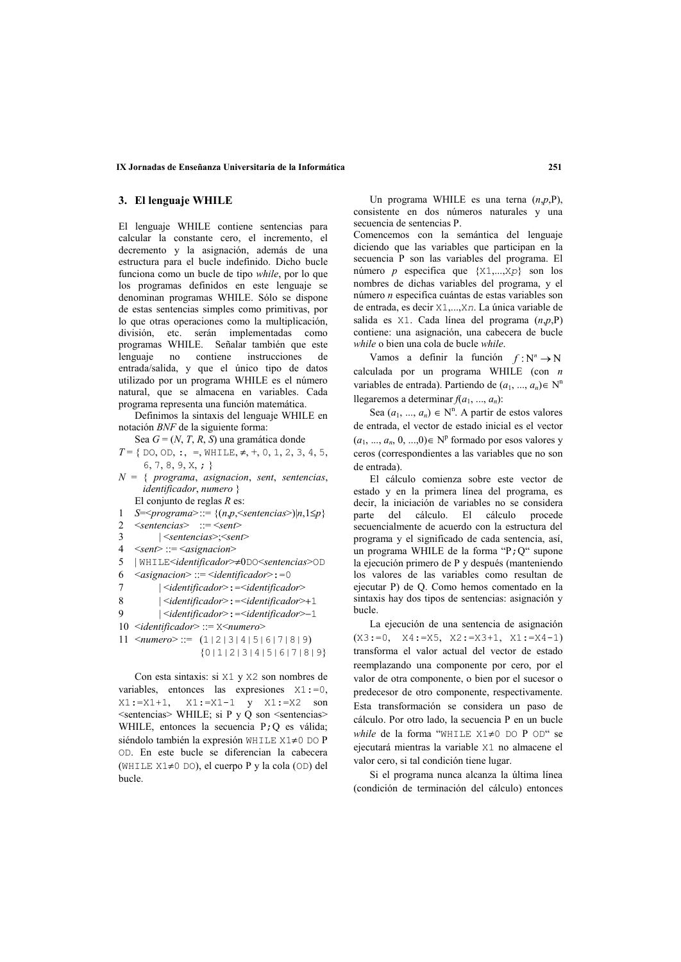#### IX Jornadas de Enseñanza Universitaria de la Informática

## 3. El lenguaje WHILE

El lenguaje WHILE contiene sentencias para calcular la constante cero, el incremento, el decremento y la asignación, además de una estructura para el bucle indefinido. Dicho bucle funciona como un bucle de tipo while, por lo que los programas definidos en este lenguaie se denominan programas WHILE. Sólo se dispone de estas sentencias simples como primitivas, por lo que otras operaciones como la multiplicación, división, etc. serán implementadas como programas WHILE. Señalar también que este lenguaje no contiene instrucciones -de entrada/salida, y que el único tipo de datos utilizado por un programa WHILE es el número natural, que se almacena en variables. Cada programa representa una función matemática.

Definimos la sintaxis del lenguaje WHILE en notación BNF de la siguiente forma:

Sea  $G = (N, T, R, S)$  una gramática donde

 $T = \{$  DO, OD, :, =, WHILE,  $\neq$ , +, 0, 1, 2, 3, 4, 5,  $6, 7, 8, 9, X, ;$ 

 $N = \{ programa, asignacion, sent, sentencias,$ *identificador*, numero } El conjunto de reglas  $R$  es:

 $S=\text{S}=\text{S}$  = {(n,p, \text{sepsilon}{sepsilon}{sepsilon}{sepsilon}{sepsilon}  $\overline{1}$ 

- $\mathfrak{D}$  $\leq$ sentencias $\geq$  ::=  $\leq$ sent $\geq$
- $|\leq$ sentencias> $\leq$ sent>  $\overline{\mathbf{3}}$
- $4 \le$ sent>::= $\le$ asignacion>
- 5 | WHILE<identificador>#0DO<sentencias>OD
- $\langle \text{asignacion} \rangle ::= \langle \text{identification} \rangle := 0$ 6
- $\overline{7}$  $|$  <identificador>:=<identificador>
- 8  $|\leq$ identificador>:= $\leq$ identificador>+1
- $\mathbf Q$  $|\leq$ identificador>:=<identificador>-1
- 10 <identificador> ::= X<numero>
- 11  $\leq$  numero  $\geq$  ::= (1|2|3|4|5|6|7|8|9)  ${011213141516171819}$

Con esta sintaxis: si X1 y X2 son nombres de variables, entonces las expressiones  $X1 := 0$ ,  $X1 := X1 + 1$ ,  $X1 := X1 - 1$  y  $X1 := X2$  son <sentencias> WHILE; si P y Q son <sentencias> WHILE, entonces la secuencia P; Q es válida; siéndolo también la expresión WHILE X1≠0 DO P OD. En este bucle se diferencian la cabecera (WHILE X1≠0 DO), el cuerpo P y la cola (OD) del **bucle** 

Un programa WHILE es una terna  $(n, p, P)$ , consistente en dos números naturales y una secuencia de sentencias P.

Comencemos con la semántica del lenguaie diciendo que las variables que participan en la secuencia P son las variables del programa. El número p especifica que  $\{X1,...,Xp\}$  son los nombres de dichas variables del programa, y el número n especifica cuántas de estas variables son de entrada, es decir X1,...,Xn. La única variable de salida es  $X1$ . Cada línea del programa  $(n, p, P)$ contiene: una asignación, una cabecera de bucle while o bien una cola de bucle while

Vamos a definir la función  $f: N^n \to N$ calculada por un programa WHILE (con  $n$ variables de entrada). Partiendo de  $(a_1, ..., a_n) \in N^n$ llegaremos a determinar  $f(a_1, ..., a_n)$ :

Sea  $(a_1, ..., a_n) \in N^n$ . A partir de estos valores de entrada, el vector de estado inicial es el vector  $(a_1, ..., a_n, 0, ..., 0) \in N^p$  formado por esos valores y ceros (correspondientes a las variables que no son de entrada).

El cálculo comienza sobre este vector de estado y en la primera línea del programa, es decir, la iniciación de variables no se considera del cálculo El cálculo procede parte secuencialmente de acuerdo con la estructura del programa y el significado de cada sentencia, así, un programa WHILE de la forma "P; Q" supone la ejecución primero de P y después (manteniendo los valores de las variables como resultan de ejecutar P) de Q. Como hemos comentado en la sintaxis hay dos tipos de sentencias: asignación y hucle

La ejecución de una sentencia de asignación  $(X3 := 0, X4 := X5, X2 := X3 + 1, X1 := X4 - 1)$ transforma el valor actual del vector de estado reemplazando una componente por cero, por el valor de otra componente, o bien por el sucesor o predecesor de otro componente, respectivamente. Esta transformación se considera un paso de cálculo. Por otro lado, la secuencia P en un bucle while de la forma "WHILE X1≠0 DO P OD" se ejecutará mientras la variable X1 no almacene el valor cero, si tal condición tiene lugar.

Si el programa nunca alcanza la última línea (condición de terminación del cálculo) entonces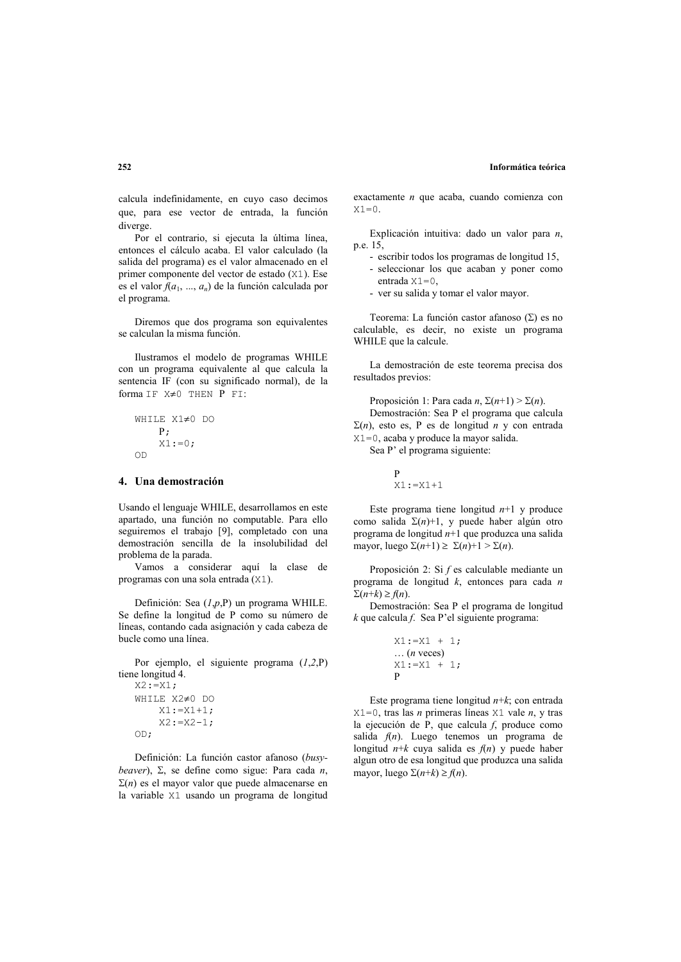calcula indefinidamente, en cuyo caso decimos que, para ese vector de entrada, la función diverge.

Por el contrario, si ejecuta la última línea, entonces el cálculo acaba. El valor calculado (la salida del programa) es el valor almacenado en el primer componente del vector de estado (X1). Ese es el valor  $f(a_1, ..., a_n)$  de la función calculada por el programa.

Diremos que dos programa son equivalentes se calculan la misma función.

Ilustramos el modelo de programas WHILE con un programa equivalente al que calcula la sentencia IF (con su significado normal), de la forma IF X≠0 THEN P FI:

While 
$$
X1 \neq 0
$$
 do

\nP;

\n $X1 := 0$ 

\nOD

### 4. Una demostración

Usando el lenguaie WHILE, desarrollamos en este apartado, una función no computable. Para ello seguiremos el trabajo [9], completado con una demostración sencilla de la insolubilidad del problema de la parada.

Vamos a considerar aquí la clase de programas con una sola entrada (X1).

Definición: Sea  $(I, p, P)$  un programa WHILE. Se define la longitud de P como su número de líneas, contando cada asignación y cada cabeza de bucle como una línea.

Por ejemplo, el siguiente programa  $(1,2,\mathbf{P})$ tiene longitud 4.

```
X2 := X1;WHILE X2≠0 DO
    X1:=X1+1;
    X2: = X2 - 1;
OD:
```
Definición: La función castor afanoso (busy*heaver*).  $\Sigma$  se define como sigue: Para cada *n*.  $\Sigma(n)$  es el mayor valor que puede almacenarse en la variable X1 usando un programa de longitud exactamente  $n$  que acaba, cuando comienza con  $X1=0$ .

Explicación intuitiva: dado un valor para  $n$ . p.e. 15.

- escribir todos los programas de longitud 15,
- seleccionar los que acaban y poner como entrada  $X1=0$ ,
- ver su salida y tomar el valor mayor.

Teorema: La función castor afanoso ( $\Sigma$ ) es no calculable, es decir, no existe un programa WHILE que la calcule.

La demostración de este teorema precisa dos resultados previos:

Proposición 1: Para cada *n*.  $\Sigma(n+1) > \Sigma(n)$ . Demostración: Sea P el programa que calcula  $\Sigma(n)$ , esto es, P es de longitud *n* y con entrada X1=0, acaba y produce la mayor salida. Sea P' el programa siguiente:

> $\overline{D}$  $X1 := X1 + 1$

Este programa tiene longitud  $n+1$  y produce como salida  $\Sigma(n)+1$ , y puede haber algún otro programa de longitud  $n+1$  que produzca una salida mayor, luego  $\Sigma(n+1) \geq \Sigma(n)+1 > \Sigma(n)$ .

Proposición 2: Si f es calculable mediante un programa de longitud  $k$ , entonces para cada n  $\Sigma(n+k) > f(n)$ .

Demostración: Sea P el programa de longitud  $k$  que calcula  $f$ . Sea P'el siguiente programa:

Este programa tiene longitud  $n+k$ ; con entrada  $X1=0$ , tras las *n* primeras líneas  $X1$  vale *n*, y tras la ejecución de  $P$ , que calcula  $f$ , produce como salida  $f(n)$ . Luego tenemos un programa de longitud  $n+k$  cuya salida es  $f(n)$  y puede haber algun otro de esa longitud que produzca una salida mayor, luego  $\Sigma(n+k) \geq f(n)$ .

#### $252$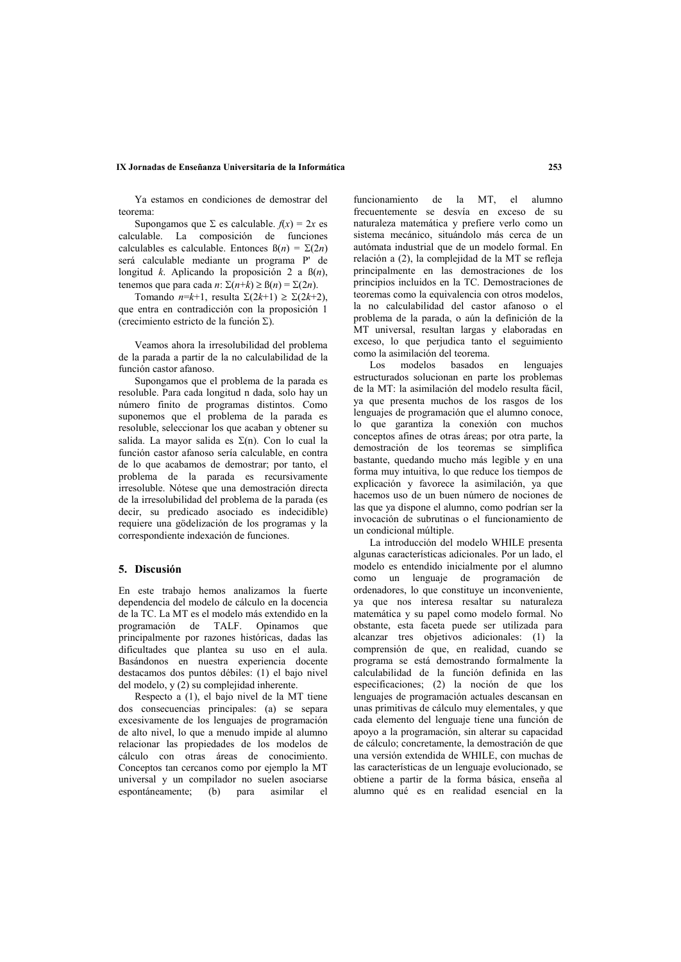### IX Jornadas de Enseñanza Universitaria de la Informática

Ya estamos en condiciones de demostrar del teorema

Supongamos que  $\Sigma$  es calculable.  $f(x) = 2x$  es calculable. La composición de funciones calculables es calculable. Entonces  $\beta(n) = \Sigma(2n)$ será calculable mediante un programa P' de longitud k. Aplicando la proposición 2 a  $\beta(n)$ , tenemos que para cada n:  $\Sigma(n+k) \geq \beta(n) = \Sigma(2n)$ .

Tomando  $n=k+1$ , resulta  $\Sigma(2k+1) \geq \Sigma(2k+2)$ , que entra en contradicción con la proposición 1 (crecimiento estricto de la función  $\Sigma$ ).

Veamos ahora la irresolubilidad del problema de la parada a partir de la no calculabilidad de la función castor afanoso.

Supongamos que el problema de la parada es resoluble. Para cada longitud n dada, solo hay un número finito de programas distintos. Como suponemos que el problema de la parada es resoluble, seleccionar los que acaban y obtener su salida. La mayor salida es  $\Sigma(n)$ . Con lo cual la función castor afanoso sería calculable, en contra de lo que acabamos de demostrar; por tanto, el problema de la parada es recursivamente irresoluble. Nótese que una demostración directa de la irresolubilidad del problema de la parada (es decir, su predicado asociado es indecidible) requiere una gödelización de los programas y la correspondiente indexación de funciones.

### 5. Discusión

En este trabajo hemos analizamos la fuerte dependencia del modelo de cálculo en la docencia de la TC. La MT es el modelo más extendido en la programación de TALF. Opinamos que principalmente por razones históricas, dadas las dificultades que plantea su uso en el aula. Basándonos en nuestra experiencia docente destacamos dos puntos débiles: (1) el bajo nivel del modelo,  $y(2)$  su complejidad inherente.

Respecto a (1), el bajo nivel de la MT tiene dos consecuencias principales: (a) se separa excesivamente de los lenguajes de programación de alto nivel, lo que a menudo impide al alumno relacionar las propiedades de los modelos de cálculo con otras áreas de conocimiento. Conceptos tan cercanos como por ejemplo la MT universal y un compilador no suelen asociarse espontáneamente; (b) para asimilar  $_{el}$ 

funcionamiento de la MT, el alumno frecuentemente se desvía en exceso de su naturaleza matemática y prefiere verlo como un sistema mecánico, situándolo más cerca de un autómata industrial que de un modelo formal. En relación a (2), la complejidad de la MT se refleja principalmente en las demostraciones de los principios incluidos en la TC. Demostraciones de teoremas como la equivalencia con otros modelos, la no calculabilidad del castor afanoso o el problema de la parada, o aún la definición de la MT universal. resultan largas v elaboradas en exceso, lo que perjudica tanto el seguimiento como la asimilación del teorema.

 $20I$ modelos basados en lenguaies estructurados solucionan en parte los problemas de la MT: la asimilación del modelo resulta fácil. va que presenta muchos de los rasgos de los lenguajes de programación que el alumno conoce, lo que garantiza la conexión con muchos conceptos afines de otras áreas; por otra parte, la demostración de los teoremas se simplifica bastante, quedando mucho más legible y en una forma muy intuitiva, lo que reduce los tiempos de explicación y favorece la asimilación, ya que hacemos uso de un buen número de nociones de las que va dispone el alumno, como podrían ser la invocación de subrutinas o el funcionamiento de un condicional múltiple.

La introducción del modelo WHILE presenta algunas características adicionales. Por un lado, el modelo es entendido inicialmente por el alumno como un lenguaje de programación de ordenadores, lo que constituye un inconveniente, va que nos interesa resaltar su naturaleza matemática y su papel como modelo formal. No obstante, esta faceta puede ser utilizada para alcanzar tres objetivos adicionales: (1) la comprensión de que, en realidad, cuando se programa se está demostrando formalmente la calculabilidad de la función definida en las especificaciones: (2) la noción de que los lenguajes de programación actuales descansan en unas primitivas de cálculo muy elementales, y que cada elemento del lenguaje tiene una función de apovo a la programación, sin alterar su capacidad de cálculo: concretamente, la demostración de que una versión extendida de WHILE, con muchas de las características de un lenguaie evolucionado, se obtiene a partir de la forma básica, enseña al alumno qué es en realidad esencial en la